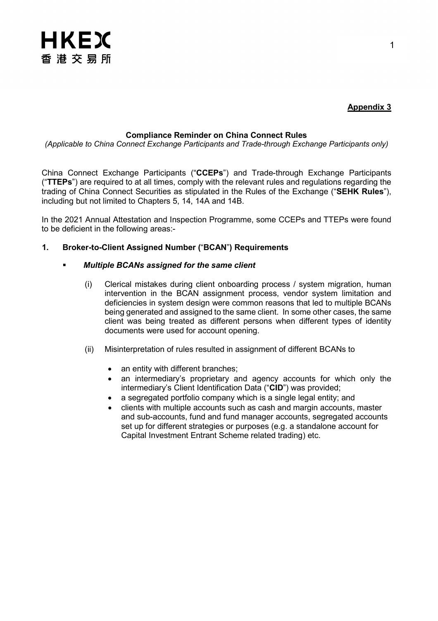

# **Appendix 3**

# **Compliance Reminder on China Connect Rules**

*(Applicable to China Connect Exchange Participants and Trade-through Exchange Participants only)*

China Connect Exchange Participants ("**CCEPs**") and Trade-through Exchange Participants ("**TTEPs**") are required to at all times, comply with the relevant rules and regulations regarding the trading of China Connect Securities as stipulated in the Rules of the Exchange ("**SEHK Rules**"), including but not limited to Chapters 5, 14, 14A and 14B.

In the 2021 Annual Attestation and Inspection Programme, some CCEPs and TTEPs were found to be deficient in the following areas:-

# **1. Broker-to-Client Assigned Number (**"**BCAN**"**) Requirements**

## *Multiple BCANs assigned for the same client*

- (i) Clerical mistakes during client onboarding process / system migration, human intervention in the BCAN assignment process, vendor system limitation and deficiencies in system design were common reasons that led to multiple BCANs being generated and assigned to the same client. In some other cases, the same client was being treated as different persons when different types of identity documents were used for account opening.
- (ii) Misinterpretation of rules resulted in assignment of different BCANs to
	- an entity with different branches;
	- an intermediary's proprietary and agency accounts for which only the intermediary's Client Identification Data ("**CID**") was provided;
	- a segregated portfolio company which is a single legal entity; and
	- clients with multiple accounts such as cash and margin accounts, master and sub-accounts, fund and fund manager accounts, segregated accounts set up for different strategies or purposes (e.g. a standalone account for Capital Investment Entrant Scheme related trading) etc.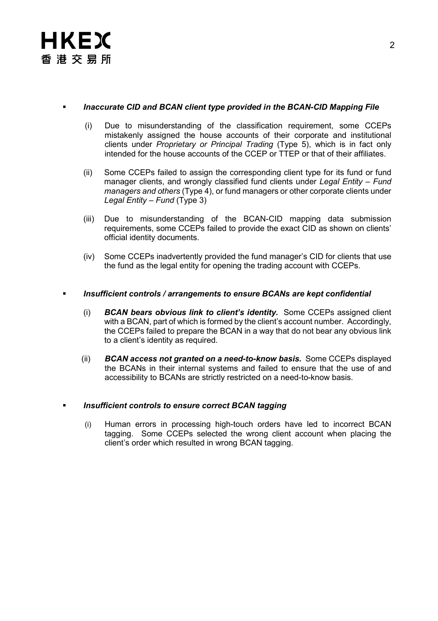

## *Inaccurate CID and BCAN client type provided in the BCAN-CID Mapping File*

- (i) Due to misunderstanding of the classification requirement, some CCEPs mistakenly assigned the house accounts of their corporate and institutional clients under *Proprietary or Principal Trading* (Type 5), which is in fact only intended for the house accounts of the CCEP or TTEP or that of their affiliates.
- (ii) Some CCEPs failed to assign the corresponding client type for its fund or fund manager clients, and wrongly classified fund clients under *Legal Entity – Fund managers and others* (Type 4), or fund managers or other corporate clients under *Legal Entity – Fund* (Type 3)
- (iii) Due to misunderstanding of the BCAN-CID mapping data submission requirements, some CCEPs failed to provide the exact CID as shown on clients' official identity documents.
- (iv) Some CCEPs inadvertently provided the fund manager's CID for clients that use the fund as the legal entity for opening the trading account with CCEPs.

## *Insufficient controls / arrangements to ensure BCANs are kept confidential*

- (i) *BCAN bears obvious link to client's identity.* Some CCEPs assigned client with a BCAN, part of which is formed by the client's account number. Accordingly, the CCEPs failed to prepare the BCAN in a way that do not bear any obvious link to a client's identity as required.
- (ii) *BCAN access not granted on a need-to-know basis.* Some CCEPs displayed the BCANs in their internal systems and failed to ensure that the use of and accessibility to BCANs are strictly restricted on a need-to-know basis.

## *Insufficient controls to ensure correct BCAN tagging*

(i) Human errors in processing high-touch orders have led to incorrect BCAN tagging. Some CCEPs selected the wrong client account when placing the client's order which resulted in wrong BCAN tagging.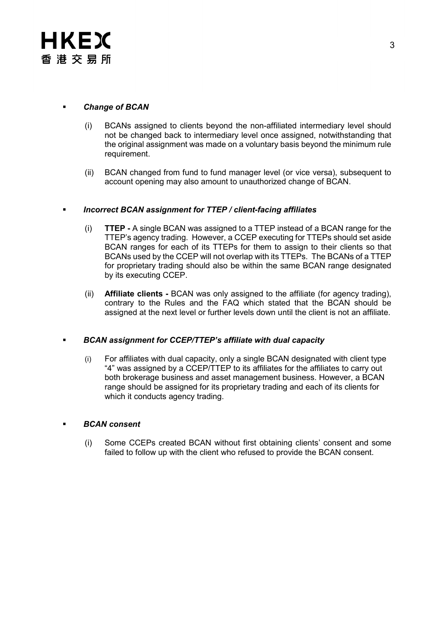# *Change of BCAN*

- (i) BCANs assigned to clients beyond the non-affiliated intermediary level should not be changed back to intermediary level once assigned, notwithstanding that the original assignment was made on a voluntary basis beyond the minimum rule requirement.
- (ii) BCAN changed from fund to fund manager level (or vice versa), subsequent to account opening may also amount to unauthorized change of BCAN.

# *Incorrect BCAN assignment for TTEP / client-facing affiliates*

- (i) **TTEP -** A single BCAN was assigned to a TTEP instead of a BCAN range for the TTEP's agency trading. However, a CCEP executing for TTEPs should set aside BCAN ranges for each of its TTEPs for them to assign to their clients so that BCANs used by the CCEP will not overlap with its TTEPs. The BCANs of a TTEP for proprietary trading should also be within the same BCAN range designated by its executing CCEP.
- (ii) **Affiliate clients -** BCAN was only assigned to the affiliate (for agency trading), contrary to the Rules and the FAQ which stated that the BCAN should be assigned at the next level or further levels down until the client is not an affiliate.

## *BCAN assignment for CCEP/TTEP's affiliate with dual capacity*

(i) For affiliates with dual capacity, only a single BCAN designated with client type "4" was assigned by a CCEP/TTEP to its affiliates for the affiliates to carry out both brokerage business and asset management business. However, a BCAN range should be assigned for its proprietary trading and each of its clients for which it conducts agency trading.

## *BCAN consent*

(i) Some CCEPs created BCAN without first obtaining clients' consent and some failed to follow up with the client who refused to provide the BCAN consent.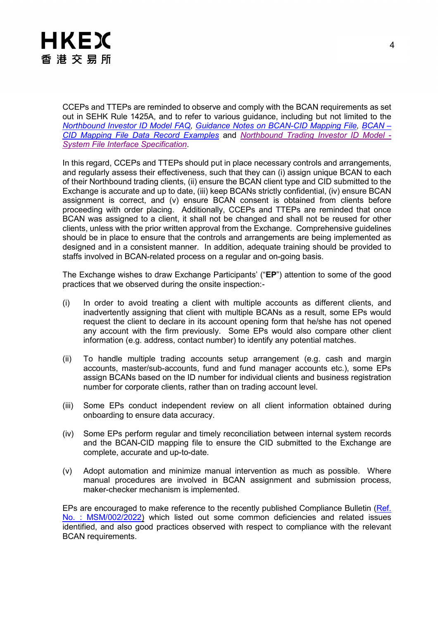

CCEPs and TTEPs are reminded to observe and comply with the BCAN requirements as set out in SEHK Rule 1425A, and to refer to various guidance, including but not limited to the *[Northbound Investor ID Model FAQ,](https://www.hkex.com.hk/-/media/HKEX-Market/Mutual-Market/Stock-Connect/Reference-Materials/Northbound-Investor-ID-Model/NB-Investor-ID-FAQ-Eng.pdf?la=en) [Guidance Notes on BCAN-CID Mapping File,](https://www.hkex.com.hk/-/media/HKEX-Market/Mutual-Market/Stock-Connect/Reference-Materials/Northbound-Investor-ID-Model/Guidance-Notes-on-BCANCID-Mapping-File.pdf?la=en) [BCAN –](https://www.hkex.com.hk/-/media/HKEX-Market/Mutual-Market/Stock-Connect/Reference-Materials/Northbound-Investor-ID-Model/BCANCID-Mapping-File-Example-(Version-1,-d-,0).pdf?la=en) [CID Mapping File Data Record Examples](https://www.hkex.com.hk/-/media/HKEX-Market/Mutual-Market/Stock-Connect/Reference-Materials/Northbound-Investor-ID-Model/BCANCID-Mapping-File-Example-(Version-1,-d-,0).pdf?la=en)* and *[Northbound Trading Investor ID Model -](https://www.hkex.com.hk/-/media/HKEX-Market/Mutual-Market/Stock-Connect/Reference-Materials/Northbound-Investor-ID-Model/HKEX-BCAN-Interface-Specification-v1,-d-,3-(Clean).pdf?la=zh-HK) [System File Interface Specification](https://www.hkex.com.hk/-/media/HKEX-Market/Mutual-Market/Stock-Connect/Reference-Materials/Northbound-Investor-ID-Model/HKEX-BCAN-Interface-Specification-v1,-d-,3-(Clean).pdf?la=zh-HK)*.

In this regard, CCEPs and TTEPs should put in place necessary controls and arrangements, and regularly assess their effectiveness, such that they can (i) assign unique BCAN to each of their Northbound trading clients, (ii) ensure the BCAN client type and CID submitted to the Exchange is accurate and up to date, (iii) keep BCANs strictly confidential, (iv) ensure BCAN assignment is correct, and (v) ensure BCAN consent is obtained from clients before proceeding with order placing. Additionally, CCEPs and TTEPs are reminded that once BCAN was assigned to a client, it shall not be changed and shall not be reused for other clients, unless with the prior written approval from the Exchange. Comprehensive guidelines should be in place to ensure that the controls and arrangements are being implemented as designed and in a consistent manner. In addition, adequate training should be provided to staffs involved in BCAN-related process on a regular and on-going basis.

The Exchange wishes to draw Exchange Participants' ("**EP**") attention to some of the good practices that we observed during the onsite inspection:-

- (i) In order to avoid treating a client with multiple accounts as different clients, and inadvertently assigning that client with multiple BCANs as a result, some EPs would request the client to declare in its account opening form that he/she has not opened any account with the firm previously. Some EPs would also compare other client information (e.g. address, contact number) to identify any potential matches.
- (ii) To handle multiple trading accounts setup arrangement (e.g. cash and margin accounts, master/sub-accounts, fund and fund manager accounts etc.), some EPs assign BCANs based on the ID number for individual clients and business registration number for corporate clients, rather than on trading account level.
- (iii) Some EPs conduct independent review on all client information obtained during onboarding to ensure data accuracy.
- (iv) Some EPs perform regular and timely reconciliation between internal system records and the BCAN-CID mapping file to ensure the CID submitted to the Exchange are complete, accurate and up-to-date.
- (v) Adopt automation and minimize manual intervention as much as possible. Where manual procedures are involved in BCAN assignment and submission process, maker-checker mechanism is implemented.

EPs are encouraged to make reference to the recently published Compliance Bulletin (Ref. [No. : MSM/002/2022\)](https://www.hkex.com.hk/-/media/HKEX-Market/Services/Circulars-and-Notices/Participant-and-Members-Circulars/SEHK/2022/Compliance-Bulletin-2022_Issue-No,-d-,-3_Final-Eng.pdf) which listed out some common deficiencies and related issues identified, and also good practices observed with respect to compliance with the relevant BCAN requirements.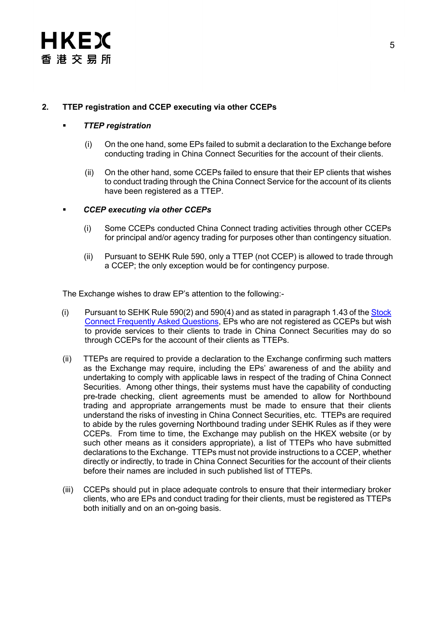# **2. TTEP registration and CCEP executing via other CCEPs**

# *TTEP registration*

- (i) On the one hand, some EPs failed to submit a declaration to the Exchange before conducting trading in China Connect Securities for the account of their clients.
- (ii) On the other hand, some CCEPs failed to ensure that their EP clients that wishes to conduct trading through the China Connect Service for the account of its clients have been registered as a TTEP.

# *CCEP executing via other CCEPs*

- (i) Some CCEPs conducted China Connect trading activities through other CCEPs for principal and/or agency trading for purposes other than contingency situation.
- (ii) Pursuant to SEHK Rule 590, only a TTEP (not CCEP) is allowed to trade through a CCEP; the only exception would be for contingency purpose.

The Exchange wishes to draw EP's attention to the following:-

- (i) Pursuant to SEHK Rule 590(2) and 590(4) and as stated in paragraph 1.43 of the [Stock](https://www.hkex.com.hk/-/media/HKEX-Market/Mutual-Market/Stock-Connect/Getting-Started/Information-Booklet-and-FAQ/FAQ/FAQ_En.pdf)  [Connect Frequently Asked Questions,](https://www.hkex.com.hk/-/media/HKEX-Market/Mutual-Market/Stock-Connect/Getting-Started/Information-Booklet-and-FAQ/FAQ/FAQ_En.pdf) EPs who are not registered as CCEPs but wish to provide services to their clients to trade in China Connect Securities may do so through CCEPs for the account of their clients as TTEPs.
- (ii) TTEPs are required to provide a declaration to the Exchange confirming such matters as the Exchange may require, including the EPs' awareness of and the ability and undertaking to comply with applicable laws in respect of the trading of China Connect Securities. Among other things, their systems must have the capability of conducting pre-trade checking, client agreements must be amended to allow for Northbound trading and appropriate arrangements must be made to ensure that their clients understand the risks of investing in China Connect Securities, etc. TTEPs are required to abide by the rules governing Northbound trading under SEHK Rules as if they were CCEPs. From time to time, the Exchange may publish on the HKEX website (or by such other means as it considers appropriate), a list of TTEPs who have submitted declarations to the Exchange. TTEPs must not provide instructions to a CCEP, whether directly or indirectly, to trade in China Connect Securities for the account of their clients before their names are included in such published list of TTEPs.
- (iii) CCEPs should put in place adequate controls to ensure that their intermediary broker clients, who are EPs and conduct trading for their clients, must be registered as TTEPs both initially and on an on-going basis.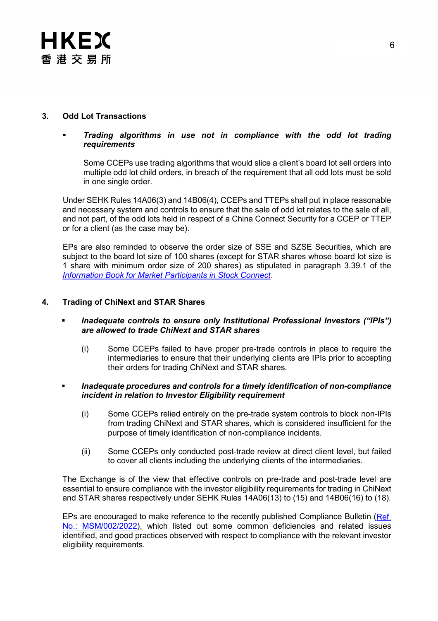

# **3. Odd Lot Transactions**

## *Trading algorithms in use not in compliance with the odd lot trading requirements*

Some CCEPs use trading algorithms that would slice a client's board lot sell orders into multiple odd lot child orders, in breach of the requirement that all odd lots must be sold in one single order.

Under SEHK Rules 14A06(3) and 14B06(4), CCEPs and TTEPs shall put in place reasonable and necessary system and controls to ensure that the sale of odd lot relates to the sale of all, and not part, of the odd lots held in respect of a China Connect Security for a CCEP or TTEP or for a client (as the case may be).

EPs are also reminded to observe the order size of SSE and SZSE Securities, which are subject to the board lot size of 100 shares (except for STAR shares whose board lot size is 1 share with minimum order size of 200 shares) as stipulated in paragraph 3.39.1 of the *[Information Book for Market Participants in Stock Connect](https://www.hkex.com.hk/-/media/HKEX-Market/Mutual-Market/Stock-Connect/Getting-Started/Information-Booklet-and-FAQ/Information-Book-for-Market-Participants/EP_CP_Book_En.pdf)*.

## **4. Trading of ChiNext and STAR Shares**

- *Inadequate controls to ensure only Institutional Professional Investors ("IPIs") are allowed to trade ChiNext and STAR shares*
	- (i) Some CCEPs failed to have proper pre-trade controls in place to require the intermediaries to ensure that their underlying clients are IPIs prior to accepting their orders for trading ChiNext and STAR shares.
- *Inadequate procedures and controls for a timely identification of non-compliance incident in relation to Investor Eligibility requirement*
	- (i) Some CCEPs relied entirely on the pre-trade system controls to block non-IPIs from trading ChiNext and STAR shares, which is considered insufficient for the purpose of timely identification of non-compliance incidents.
	- (ii) Some CCEPs only conducted post-trade review at direct client level, but failed to cover all clients including the underlying clients of the intermediaries.

The Exchange is of the view that effective controls on pre-trade and post-trade level are essential to ensure compliance with the investor eligibility requirements for trading in ChiNext and STAR shares respectively under SEHK Rules 14A06(13) to (15) and 14B06(16) to (18).

EPs are encouraged to make reference to the recently published Compliance Bulletin (Ref. [No.: MSM/002/2022\)](https://www.hkex.com.hk/-/media/HKEX-Market/Services/Circulars-and-Notices/Participant-and-Members-Circulars/SEHK/2022/Compliance-Bulletin-2022_Issue-No,-d-,-3_Final-Eng.pdf), which listed out some common deficiencies and related issues identified, and good practices observed with respect to compliance with the relevant investor eligibility requirements.